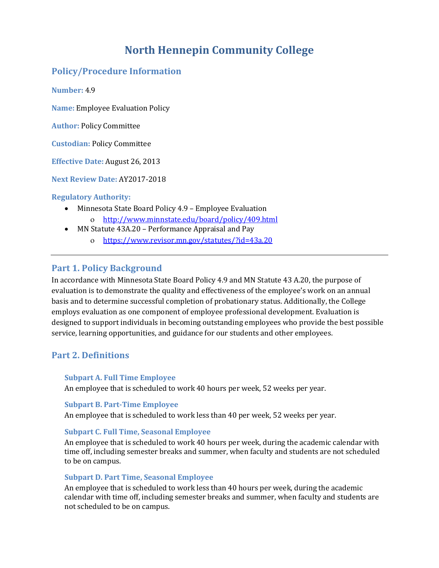# **North Hennepin Community College**

### **Policy/Procedure Information**

**Number:** 4.9

**Name:** Employee Evaluation Policy

**Author:** Policy Committee

**Custodian:** Policy Committee

**Effective Date:** August 26, 2013

**Next Review Date:** AY2017-2018

#### **Regulatory Authority:**

- Minnesota State Board Policy 4.9 Employee Evaluation
	- <http://www.minnstate.edu/board/policy/409.html>
- MN Statute 43A.20 Performance Appraisal and Pay
	- <https://www.revisor.mn.gov/statutes/?id=43a.20>

### **Part 1. Policy Background**

In accordance with Minnesota State Board Policy 4.9 and MN Statute 43 A.20, the purpose of evaluation is to demonstrate the quality and effectiveness of the employee's work on an annual basis and to determine successful completion of probationary status. Additionally, the College employs evaluation as one component of employee professional development. Evaluation is designed to support individuals in becoming outstanding employees who provide the best possible service, learning opportunities, and guidance for our students and other employees.

### **Part 2. Definitions**

#### **Subpart A. Full Time Employee**

An employee that is scheduled to work 40 hours per week, 52 weeks per year.

#### **Subpart B. Part-Time Employee**

An employee that is scheduled to work less than 40 per week, 52 weeks per year.

#### **Subpart C. Full Time, Seasonal Employee**

An employee that is scheduled to work 40 hours per week, during the academic calendar with time off, including semester breaks and summer, when faculty and students are not scheduled to be on campus.

#### **Subpart D. Part Time, Seasonal Employee**

An employee that is scheduled to work less than 40 hours per week, during the academic calendar with time off, including semester breaks and summer, when faculty and students are not scheduled to be on campus.